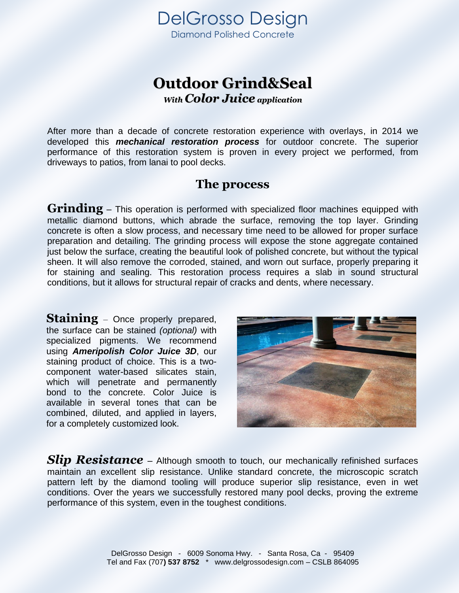

## **Outdoor Grind&Seal** *With Color Juice application*

After more than a decade of concrete restoration experience with overlays, in 2014 we developed this *mechanical restoration process* for outdoor concrete. The superior performance of this restoration system is proven in every project we performed, from driveways to patios, from lanai to pool decks.

## **The process**

**Grinding** – This operation is performed with specialized floor machines equipped with metallic diamond buttons, which abrade the surface, removing the top layer. Grinding concrete is often a slow process, and necessary time need to be allowed for proper surface preparation and detailing. The grinding process will expose the stone aggregate contained just below the surface, creating the beautiful look of polished concrete, but without the typical sheen. It will also remove the corroded, stained, and worn out surface, properly preparing it for staining and sealing. This restoration process requires a slab in sound structural conditions, but it allows for structural repair of cracks and dents, where necessary.

**Staining** – Once properly prepared, the surface can be stained *(optional)* with specialized pigments. We recommend using *Ameripolish Color Juice 3D*, our staining product of choice. This is a twocomponent water-based silicates stain, which will penetrate and permanently bond to the concrete. Color Juice is available in several tones that can be combined, diluted, and applied in layers, for a completely customized look.



**Slip Resistance** – Although smooth to touch, our mechanically refinished surfaces maintain an excellent slip resistance. Unlike standard concrete, the microscopic scratch pattern left by the diamond tooling will produce superior slip resistance, even in wet conditions. Over the years we successfully restored many pool decks, proving the extreme performance of this system, even in the toughest conditions.